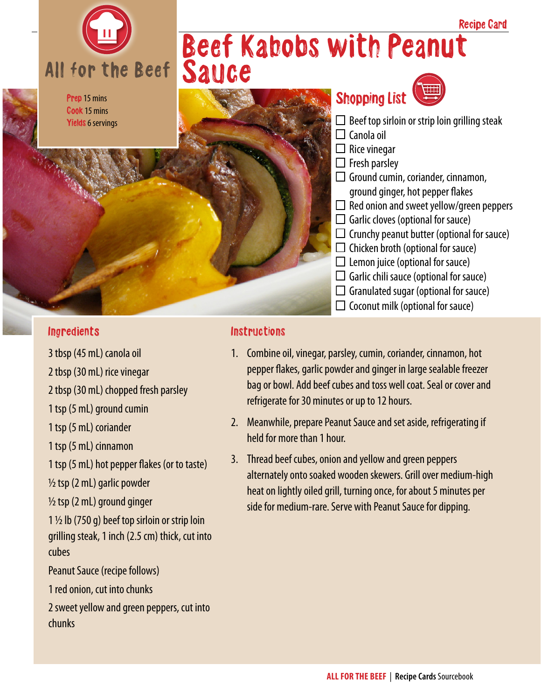

#### Prep 15 mins Cook 15 mins Yields 6 servings

## Beef Kabobs with Peanut Sauce



- ground ginger, hot pepper flakes
- $\Box$  Red onion and sweet yellow/green peppers
- $\Box$  Garlic cloves (optional for sauce)
- $\Box$  Crunchy peanut butter (optional for sauce)
- $\Box$  Chicken broth (optional for sauce)
- $\Box$  Lemon juice (optional for sauce)
- $\Box$  Garlic chili sauce (optional for sauce)
- $\Box$  Granulated sugar (optional for sauce)
- $\Box$  Coconut milk (optional for sauce)

#### Ingredients

- 3 tbsp (45 mL) canola oil
- 2 tbsp (30 mL) rice vinegar
- 2 tbsp (30 mL) chopped fresh parsley
- 1 tsp (5 mL) ground cumin
- 1 tsp (5 mL) coriander
- 1 tsp (5 mL) cinnamon
- 1 tsp (5 mL) hot pepper flakes (or to taste)
- ½ tsp (2 mL) garlic powder
- ½ tsp (2 mL) ground ginger
- $1\frac{1}{2}$  lb (750 g) beef top sirloin or strip loin grilling steak, 1 inch (2.5 cm) thick, cut into cubes
- Peanut Sauce (recipe follows)
- 1 red onion, cut into chunks
- 2 sweet yellow and green peppers, cut into chunks

#### **Instructions**

- 1. Combine oil, vinegar, parsley, cumin, coriander, cinnamon, hot pepper flakes, garlic powder and ginger in large sealable freezer bag or bowl. Add beef cubes and toss well coat. Seal or cover and refrigerate for 30 minutes or up to 12 hours.
- 2. Meanwhile, prepare Peanut Sauce and set aside, refrigerating if held for more than 1 hour.
- 3. Thread beef cubes, onion and yellow and green peppers alternately onto soaked wooden skewers. Grill over medium-high heat on lightly oiled grill, turning once, for about 5 minutes per side for medium-rare. Serve with Peanut Sauce for dipping.